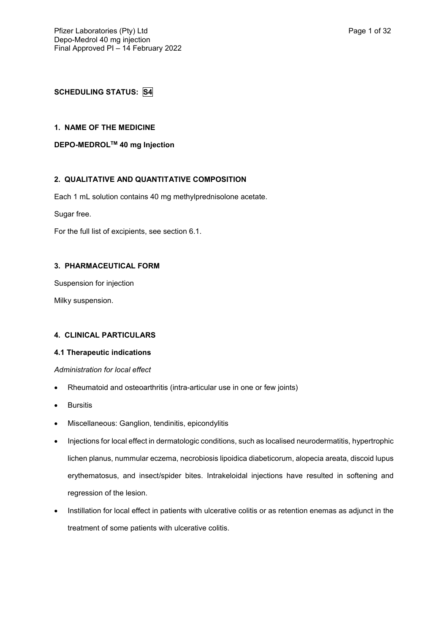# **SCHEDULING STATUS: S4**

# **1. NAME OF THE MEDICINE**

**DEPO-MEDROLTM 40 mg Injection**

# **2. QUALITATIVE AND QUANTITATIVE COMPOSITION**

Each 1 mL solution contains 40 mg methylprednisolone acetate.

Sugar free.

For the full list of excipients, see section 6.1.

## **3. PHARMACEUTICAL FORM**

Suspension for injection

Milky suspension.

## **4. CLINICAL PARTICULARS**

## **4.1 Therapeutic indications**

## *Administration for local effect*

- Rheumatoid and osteoarthritis (intra-articular use in one or few joints)
- **Bursitis**
- Miscellaneous: Ganglion, tendinitis, epicondylitis
- Injections for local effect in dermatologic conditions, such as localised neurodermatitis, hypertrophic lichen planus, nummular eczema, necrobiosis lipoidica diabeticorum, alopecia areata, discoid lupus erythematosus, and insect/spider bites. Intrakeloidal injections have resulted in softening and regression of the lesion.
- Instillation for local effect in patients with ulcerative colitis or as retention enemas as adjunct in the treatment of some patients with ulcerative colitis.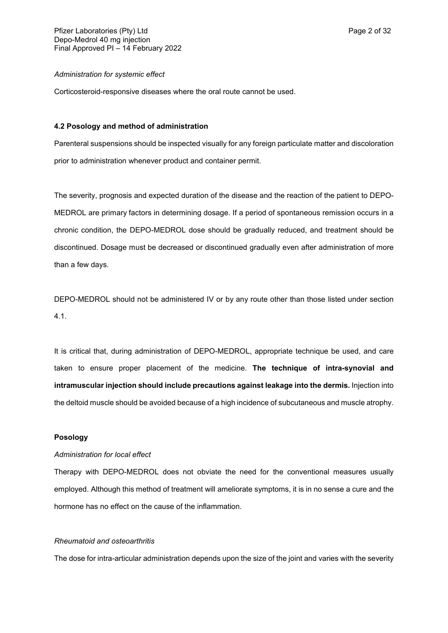### *Administration for systemic effect*

Corticosteroid-responsive diseases where the oral route cannot be used.

### **4.2 Posology and method of administration**

Parenteral suspensions should be inspected visually for any foreign particulate matter and discoloration prior to administration whenever product and container permit.

The severity, prognosis and expected duration of the disease and the reaction of the patient to DEPO-MEDROL are primary factors in determining dosage. If a period of spontaneous remission occurs in a chronic condition, the DEPO-MEDROL dose should be gradually reduced, and treatment should be discontinued. Dosage must be decreased or discontinued gradually even after administration of more than a few days.

DEPO-MEDROL should not be administered IV or by any route other than those listed under section 4.1.

It is critical that, during administration of DEPO-MEDROL, appropriate technique be used, and care taken to ensure proper placement of the medicine. **The technique of intra-synovial and intramuscular injection should include precautions against leakage into the dermis.** Injection into the deltoid muscle should be avoided because of a high incidence of subcutaneous and muscle atrophy.

#### **Posology**

### *Administration for local effect*

Therapy with DEPO-MEDROL does not obviate the need for the conventional measures usually employed. Although this method of treatment will ameliorate symptoms, it is in no sense a cure and the hormone has no effect on the cause of the inflammation.

### *Rheumatoid and osteoarthritis*

The dose for intra-articular administration depends upon the size of the joint and varies with the severity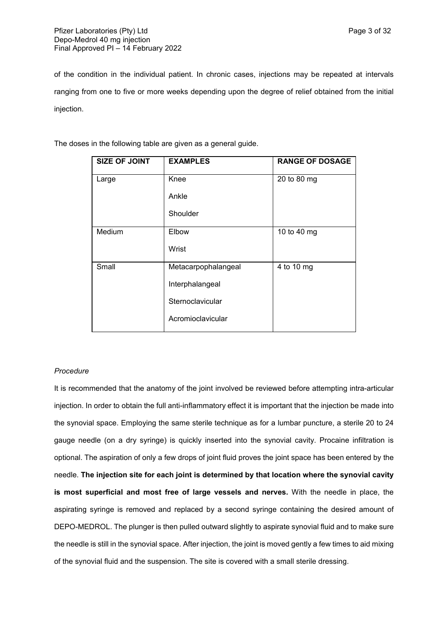of the condition in the individual patient. In chronic cases, injections may be repeated at intervals ranging from one to five or more weeks depending upon the degree of relief obtained from the initial injection.

| <b>SIZE OF JOINT</b> | <b>EXAMPLES</b>     | <b>RANGE OF DOSAGE</b> |
|----------------------|---------------------|------------------------|
| Large                | Knee                | 20 to 80 mg            |
|                      | Ankle               |                        |
|                      | Shoulder            |                        |
| Medium               | Elbow               | 10 to 40 mg            |
|                      | Wrist               |                        |
| Small                | Metacarpophalangeal | 4 to 10 mg             |
|                      | Interphalangeal     |                        |
|                      | Sternoclavicular    |                        |
|                      | Acromioclavicular   |                        |

The doses in the following table are given as a general guide.

## *Procedure*

It is recommended that the anatomy of the joint involved be reviewed before attempting intra-articular injection. In order to obtain the full anti-inflammatory effect it is important that the injection be made into the synovial space. Employing the same sterile technique as for a lumbar puncture, a sterile 20 to 24 gauge needle (on a dry syringe) is quickly inserted into the synovial cavity. Procaine infiltration is optional. The aspiration of only a few drops of joint fluid proves the joint space has been entered by the needle. **The injection site for each joint is determined by that location where the synovial cavity is most superficial and most free of large vessels and nerves.** With the needle in place, the aspirating syringe is removed and replaced by a second syringe containing the desired amount of DEPO-MEDROL. The plunger is then pulled outward slightly to aspirate synovial fluid and to make sure the needle is still in the synovial space. After injection, the joint is moved gently a few times to aid mixing of the synovial fluid and the suspension. The site is covered with a small sterile dressing.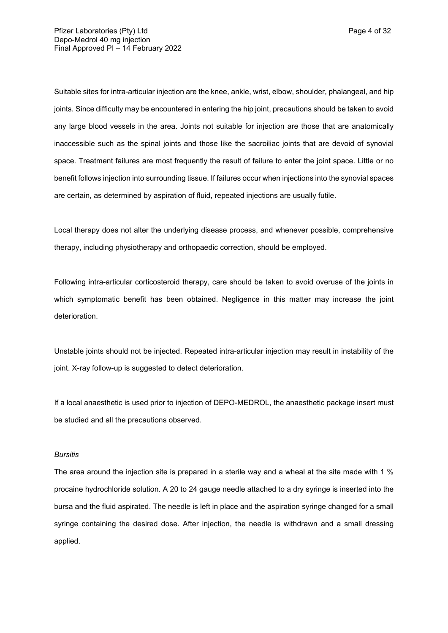Suitable sites for intra-articular injection are the knee, ankle, wrist, elbow, shoulder, phalangeal, and hip joints. Since difficulty may be encountered in entering the hip joint, precautions should be taken to avoid any large blood vessels in the area. Joints not suitable for injection are those that are anatomically inaccessible such as the spinal joints and those like the sacroiliac joints that are devoid of synovial space. Treatment failures are most frequently the result of failure to enter the joint space. Little or no benefit follows injection into surrounding tissue. If failures occur when injections into the synovial spaces are certain, as determined by aspiration of fluid, repeated injections are usually futile.

Local therapy does not alter the underlying disease process, and whenever possible, comprehensive therapy, including physiotherapy and orthopaedic correction, should be employed.

Following intra-articular corticosteroid therapy, care should be taken to avoid overuse of the joints in which symptomatic benefit has been obtained. Negligence in this matter may increase the joint deterioration.

Unstable joints should not be injected. Repeated intra-articular injection may result in instability of the joint. X-ray follow-up is suggested to detect deterioration.

If a local anaesthetic is used prior to injection of DEPO-MEDROL, the anaesthetic package insert must be studied and all the precautions observed.

#### *Bursitis*

The area around the injection site is prepared in a sterile way and a wheal at the site made with 1 % procaine hydrochloride solution. A 20 to 24 gauge needle attached to a dry syringe is inserted into the bursa and the fluid aspirated. The needle is left in place and the aspiration syringe changed for a small syringe containing the desired dose. After injection, the needle is withdrawn and a small dressing applied.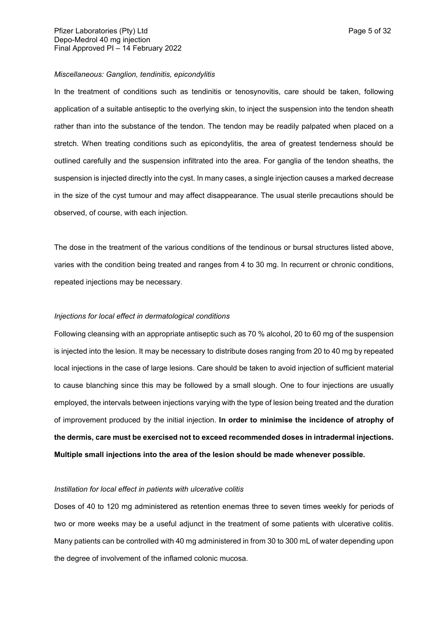### *Miscellaneous: Ganglion, tendinitis, epicondylitis*

In the treatment of conditions such as tendinitis or tenosynovitis, care should be taken, following application of a suitable antiseptic to the overlying skin, to inject the suspension into the tendon sheath rather than into the substance of the tendon. The tendon may be readily palpated when placed on a stretch. When treating conditions such as epicondylitis, the area of greatest tenderness should be outlined carefully and the suspension infiltrated into the area. For ganglia of the tendon sheaths, the suspension is injected directly into the cyst. In many cases, a single injection causes a marked decrease in the size of the cyst tumour and may affect disappearance. The usual sterile precautions should be observed, of course, with each injection.

The dose in the treatment of the various conditions of the tendinous or bursal structures listed above, varies with the condition being treated and ranges from 4 to 30 mg. In recurrent or chronic conditions, repeated injections may be necessary.

### *Injections for local effect in dermatological conditions*

Following cleansing with an appropriate antiseptic such as 70 % alcohol, 20 to 60 mg of the suspension is injected into the lesion. It may be necessary to distribute doses ranging from 20 to 40 mg by repeated local injections in the case of large lesions. Care should be taken to avoid injection of sufficient material to cause blanching since this may be followed by a small slough. One to four injections are usually employed, the intervals between injections varying with the type of lesion being treated and the duration of improvement produced by the initial injection. **In order to minimise the incidence of atrophy of the dermis, care must be exercised not to exceed recommended doses in intradermal injections. Multiple small injections into the area of the lesion should be made whenever possible.**

### *Instillation for local effect in patients with ulcerative colitis*

Doses of 40 to 120 mg administered as retention enemas three to seven times weekly for periods of two or more weeks may be a useful adjunct in the treatment of some patients with ulcerative colitis. Many patients can be controlled with 40 mg administered in from 30 to 300 mL of water depending upon the degree of involvement of the inflamed colonic mucosa.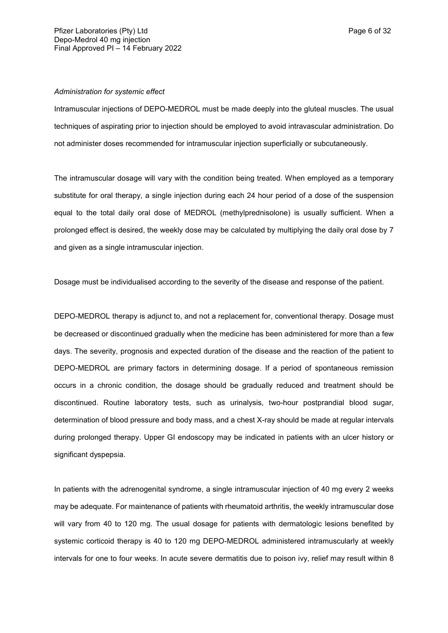## *Administration for systemic effect*

Intramuscular injections of DEPO-MEDROL must be made deeply into the gluteal muscles. The usual techniques of aspirating prior to injection should be employed to avoid intravascular administration. Do not administer doses recommended for intramuscular injection superficially or subcutaneously.

The intramuscular dosage will vary with the condition being treated. When employed as a temporary substitute for oral therapy, a single injection during each 24 hour period of a dose of the suspension equal to the total daily oral dose of MEDROL (methylprednisolone) is usually sufficient. When a prolonged effect is desired, the weekly dose may be calculated by multiplying the daily oral dose by 7 and given as a single intramuscular injection.

Dosage must be individualised according to the severity of the disease and response of the patient.

DEPO-MEDROL therapy is adjunct to, and not a replacement for, conventional therapy. Dosage must be decreased or discontinued gradually when the medicine has been administered for more than a few days. The severity, prognosis and expected duration of the disease and the reaction of the patient to DEPO-MEDROL are primary factors in determining dosage. If a period of spontaneous remission occurs in a chronic condition, the dosage should be gradually reduced and treatment should be discontinued. Routine laboratory tests, such as urinalysis, two-hour postprandial blood sugar, determination of blood pressure and body mass, and a chest X-ray should be made at regular intervals during prolonged therapy. Upper GI endoscopy may be indicated in patients with an ulcer history or significant dyspepsia.

In patients with the adrenogenital syndrome, a single intramuscular injection of 40 mg every 2 weeks may be adequate. For maintenance of patients with rheumatoid arthritis, the weekly intramuscular dose will vary from 40 to 120 mg. The usual dosage for patients with dermatologic lesions benefited by systemic corticoid therapy is 40 to 120 mg DEPO-MEDROL administered intramuscularly at weekly intervals for one to four weeks. In acute severe dermatitis due to poison ivy, relief may result within 8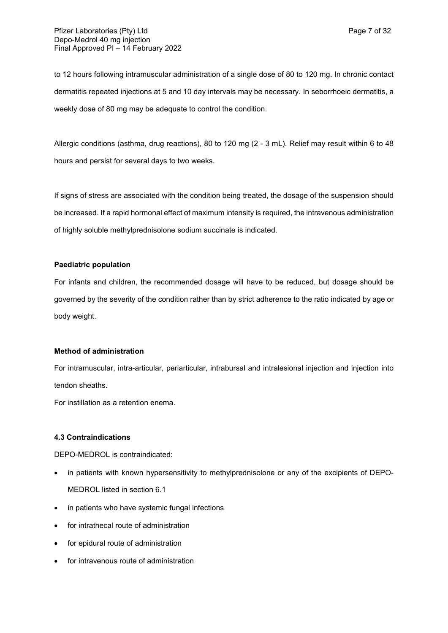to 12 hours following intramuscular administration of a single dose of 80 to 120 mg. In chronic contact dermatitis repeated injections at 5 and 10 day intervals may be necessary. In seborrhoeic dermatitis, a weekly dose of 80 mg may be adequate to control the condition.

Allergic conditions (asthma, drug reactions), 80 to 120 mg (2 - 3 mL). Relief may result within 6 to 48 hours and persist for several days to two weeks.

If signs of stress are associated with the condition being treated, the dosage of the suspension should be increased. If a rapid hormonal effect of maximum intensity is required, the intravenous administration of highly soluble methylprednisolone sodium succinate is indicated.

## **Paediatric population**

For infants and children, the recommended dosage will have to be reduced, but dosage should be governed by the severity of the condition rather than by strict adherence to the ratio indicated by age or body weight.

## **Method of administration**

For intramuscular, intra-articular, periarticular, intrabursal and intralesional injection and injection into tendon sheaths.

For instillation as a retention enema.

## **4.3 Contraindications**

DEPO-MEDROL is contraindicated:

- in patients with known hypersensitivity to methylprednisolone or any of the excipients of DEPO-MEDROL listed in section 6.1
- in patients who have systemic fungal infections
- for intrathecal route of administration
- for epidural route of administration
- for intravenous route of administration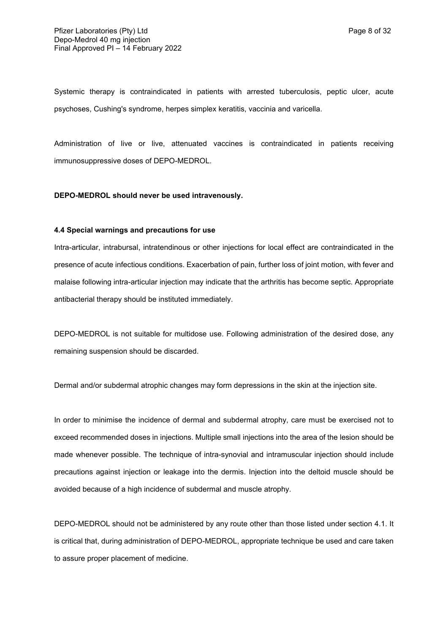Systemic therapy is contraindicated in patients with arrested tuberculosis, peptic ulcer, acute psychoses, Cushing's syndrome, herpes simplex keratitis, vaccinia and varicella.

Administration of live or live, attenuated vaccines is contraindicated in patients receiving immunosuppressive doses of DEPO-MEDROL.

### **DEPO-MEDROL should never be used intravenously.**

### **4.4 Special warnings and precautions for use**

Intra-articular, intrabursal, intratendinous or other injections for local effect are contraindicated in the presence of acute infectious conditions. Exacerbation of pain, further loss of joint motion, with fever and malaise following intra-articular injection may indicate that the arthritis has become septic. Appropriate antibacterial therapy should be instituted immediately.

DEPO-MEDROL is not suitable for multidose use. Following administration of the desired dose, any remaining suspension should be discarded.

Dermal and/or subdermal atrophic changes may form depressions in the skin at the injection site.

In order to minimise the incidence of dermal and subdermal atrophy, care must be exercised not to exceed recommended doses in injections. Multiple small injections into the area of the lesion should be made whenever possible. The technique of intra-synovial and intramuscular injection should include precautions against injection or leakage into the dermis. Injection into the deltoid muscle should be avoided because of a high incidence of subdermal and muscle atrophy.

DEPO-MEDROL should not be administered by any route other than those listed under section 4.1. It is critical that, during administration of DEPO-MEDROL, appropriate technique be used and care taken to assure proper placement of medicine.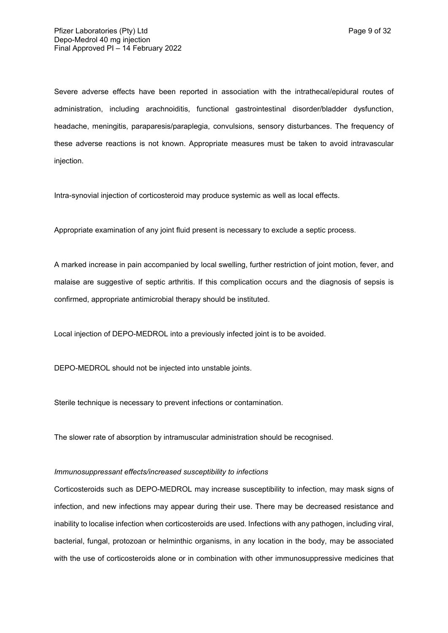Severe adverse effects have been reported in association with the intrathecal/epidural routes of administration, including arachnoiditis, functional gastrointestinal disorder/bladder dysfunction, headache, meningitis, paraparesis/paraplegia, convulsions, sensory disturbances. The frequency of these adverse reactions is not known. Appropriate measures must be taken to avoid intravascular injection.

Intra-synovial injection of corticosteroid may produce systemic as well as local effects.

Appropriate examination of any joint fluid present is necessary to exclude a septic process.

A marked increase in pain accompanied by local swelling, further restriction of joint motion, fever, and malaise are suggestive of septic arthritis. If this complication occurs and the diagnosis of sepsis is confirmed, appropriate antimicrobial therapy should be instituted.

Local injection of DEPO-MEDROL into a previously infected joint is to be avoided.

DEPO-MEDROL should not be injected into unstable joints.

Sterile technique is necessary to prevent infections or contamination.

The slower rate of absorption by intramuscular administration should be recognised.

## *Immunosuppressant effects/increased susceptibility to infections*

Corticosteroids such as DEPO-MEDROL may increase susceptibility to infection, may mask signs of infection, and new infections may appear during their use. There may be decreased resistance and inability to localise infection when corticosteroids are used. Infections with any pathogen, including viral, bacterial, fungal, protozoan or helminthic organisms, in any location in the body, may be associated with the use of corticosteroids alone or in combination with other immunosuppressive medicines that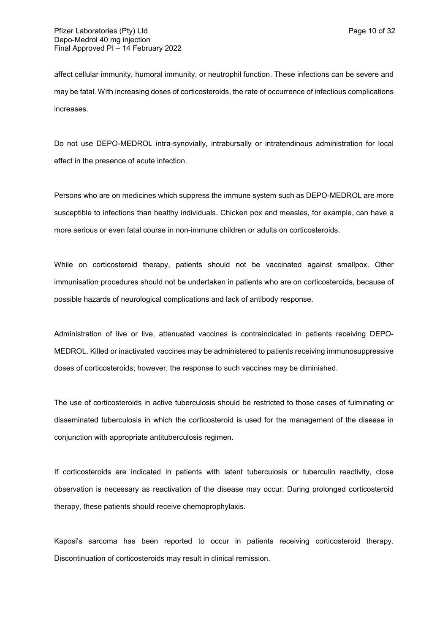affect cellular immunity, humoral immunity, or neutrophil function. These infections can be severe and may be fatal. With increasing doses of corticosteroids, the rate of occurrence of infectious complications increases.

Do not use DEPO-MEDROL intra-synovially, intrabursally or intratendinous administration for local effect in the presence of acute infection.

Persons who are on medicines which suppress the immune system such as DEPO-MEDROL are more susceptible to infections than healthy individuals. Chicken pox and measles, for example, can have a more serious or even fatal course in non-immune children or adults on corticosteroids.

While on corticosteroid therapy, patients should not be vaccinated against smallpox. Other immunisation procedures should not be undertaken in patients who are on corticosteroids, because of possible hazards of neurological complications and lack of antibody response.

Administration of live or live, attenuated vaccines is contraindicated in patients receiving DEPO-MEDROL. Killed or inactivated vaccines may be administered to patients receiving immunosuppressive doses of corticosteroids; however, the response to such vaccines may be diminished.

The use of corticosteroids in active tuberculosis should be restricted to those cases of fulminating or disseminated tuberculosis in which the corticosteroid is used for the management of the disease in conjunction with appropriate antituberculosis regimen.

If corticosteroids are indicated in patients with latent tuberculosis or tuberculin reactivity, close observation is necessary as reactivation of the disease may occur. During prolonged corticosteroid therapy, these patients should receive chemoprophylaxis.

Kaposi's sarcoma has been reported to occur in patients receiving corticosteroid therapy. Discontinuation of corticosteroids may result in clinical remission.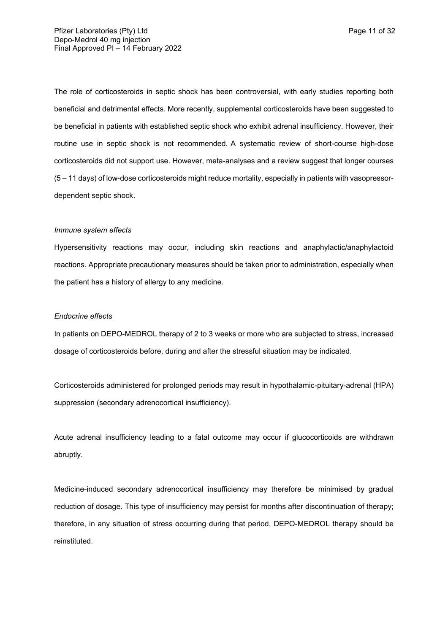The role of corticosteroids in septic shock has been controversial, with early studies reporting both beneficial and detrimental effects. More recently, supplemental corticosteroids have been suggested to be beneficial in patients with established septic shock who exhibit adrenal insufficiency. However, their routine use in septic shock is not recommended. A systematic review of short-course high-dose corticosteroids did not support use. However, meta-analyses and a review suggest that longer courses (5 – 11 days) of low-dose corticosteroids might reduce mortality, especially in patients with vasopressordependent septic shock.

#### *Immune system effects*

Hypersensitivity reactions may occur, including skin reactions and anaphylactic/anaphylactoid reactions. Appropriate precautionary measures should be taken prior to administration, especially when the patient has a history of allergy to any medicine.

#### *Endocrine effects*

In patients on DEPO-MEDROL therapy of 2 to 3 weeks or more who are subjected to stress, increased dosage of corticosteroids before, during and after the stressful situation may be indicated.

Corticosteroids administered for prolonged periods may result in hypothalamic-pituitary-adrenal (HPA) suppression (secondary adrenocortical insufficiency).

Acute adrenal insufficiency leading to a fatal outcome may occur if glucocorticoids are withdrawn abruptly.

Medicine-induced secondary adrenocortical insufficiency may therefore be minimised by gradual reduction of dosage. This type of insufficiency may persist for months after discontinuation of therapy; therefore, in any situation of stress occurring during that period, DEPO-MEDROL therapy should be reinstituted.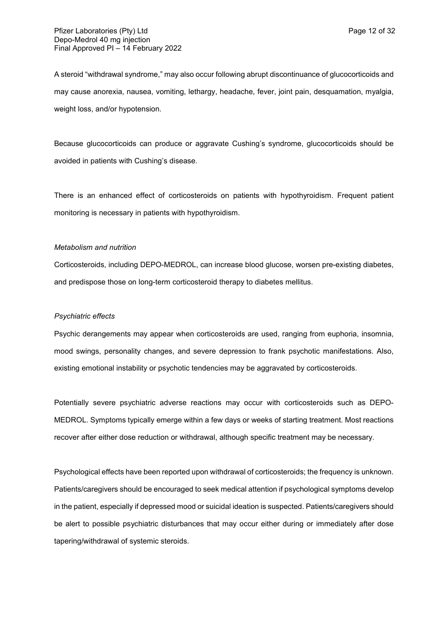A steroid "withdrawal syndrome," may also occur following abrupt discontinuance of glucocorticoids and may cause anorexia, nausea, vomiting, lethargy, headache, fever, joint pain, desquamation, myalgia, weight loss, and/or hypotension.

Because glucocorticoids can produce or aggravate Cushing's syndrome, glucocorticoids should be avoided in patients with Cushing's disease.

There is an enhanced effect of corticosteroids on patients with hypothyroidism. Frequent patient monitoring is necessary in patients with hypothyroidism.

### *Metabolism and nutrition*

Corticosteroids, including DEPO-MEDROL, can increase blood glucose, worsen pre-existing diabetes, and predispose those on long-term corticosteroid therapy to diabetes mellitus.

#### *Psychiatric effects*

Psychic derangements may appear when corticosteroids are used, ranging from euphoria, insomnia, mood swings, personality changes, and severe depression to frank psychotic manifestations. Also, existing emotional instability or psychotic tendencies may be aggravated by corticosteroids.

Potentially severe psychiatric adverse reactions may occur with corticosteroids such as DEPO-MEDROL. Symptoms typically emerge within a few days or weeks of starting treatment. Most reactions recover after either dose reduction or withdrawal, although specific treatment may be necessary.

Psychological effects have been reported upon withdrawal of corticosteroids; the frequency is unknown. Patients/caregivers should be encouraged to seek medical attention if psychological symptoms develop in the patient, especially if depressed mood or suicidal ideation is suspected. Patients/caregivers should be alert to possible psychiatric disturbances that may occur either during or immediately after dose tapering/withdrawal of systemic steroids.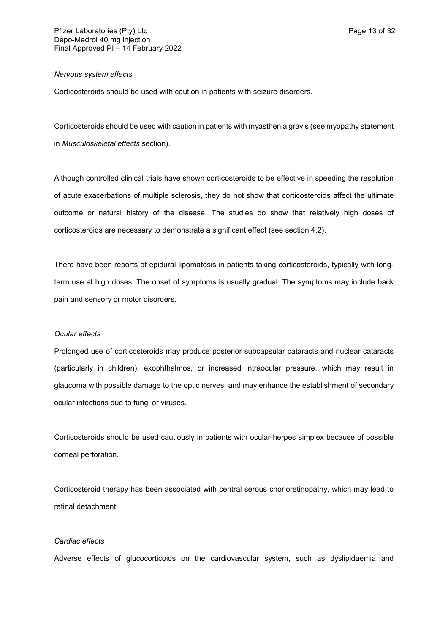#### *Nervous system effects*

Corticosteroids should be used with caution in patients with seizure disorders.

Corticosteroids should be used with caution in patients with myasthenia gravis (see myopathy statement in *Musculoskeletal effects* section).

Although controlled clinical trials have shown corticosteroids to be effective in speeding the resolution of acute exacerbations of multiple sclerosis, they do not show that corticosteroids affect the ultimate outcome or natural history of the disease. The studies do show that relatively high doses of corticosteroids are necessary to demonstrate a significant effect (see section 4.2).

There have been reports of epidural lipomatosis in patients taking corticosteroids, typically with longterm use at high doses. The onset of symptoms is usually gradual. The symptoms may include back pain and sensory or motor disorders.

## *Ocular effects*

Prolonged use of corticosteroids may produce posterior subcapsular cataracts and nuclear cataracts (particularly in children), exophthalmos, or increased intraocular pressure, which may result in glaucoma with possible damage to the optic nerves, and may enhance the establishment of secondary ocular infections due to fungi or viruses.

Corticosteroids should be used cautiously in patients with ocular herpes simplex because of possible corneal perforation.

Corticosteroid therapy has been associated with central serous chorioretinopathy, which may lead to retinal detachment.

### *Cardiac effects*

Adverse effects of glucocorticoids on the cardiovascular system, such as dyslipidaemia and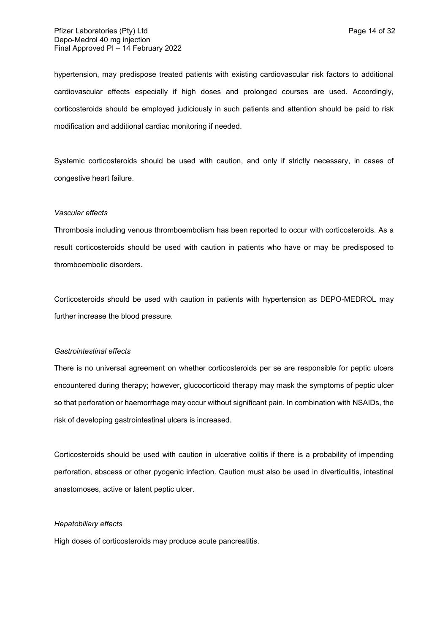hypertension, may predispose treated patients with existing cardiovascular risk factors to additional cardiovascular effects especially if high doses and prolonged courses are used. Accordingly, corticosteroids should be employed judiciously in such patients and attention should be paid to risk modification and additional cardiac monitoring if needed.

Systemic corticosteroids should be used with caution, and only if strictly necessary, in cases of congestive heart failure.

#### *Vascular effects*

Thrombosis including venous thromboembolism has been reported to occur with corticosteroids. As a result corticosteroids should be used with caution in patients who have or may be predisposed to thromboembolic disorders.

Corticosteroids should be used with caution in patients with hypertension as DEPO-MEDROL may further increase the blood pressure.

#### *Gastrointestinal effects*

There is no universal agreement on whether corticosteroids per se are responsible for peptic ulcers encountered during therapy; however, glucocorticoid therapy may mask the symptoms of peptic ulcer so that perforation or haemorrhage may occur without significant pain. In combination with NSAIDs, the risk of developing gastrointestinal ulcers is increased.

Corticosteroids should be used with caution in ulcerative colitis if there is a probability of impending perforation, abscess or other pyogenic infection. Caution must also be used in diverticulitis, intestinal anastomoses, active or latent peptic ulcer.

### *Hepatobiliary effects*

High doses of corticosteroids may produce acute pancreatitis.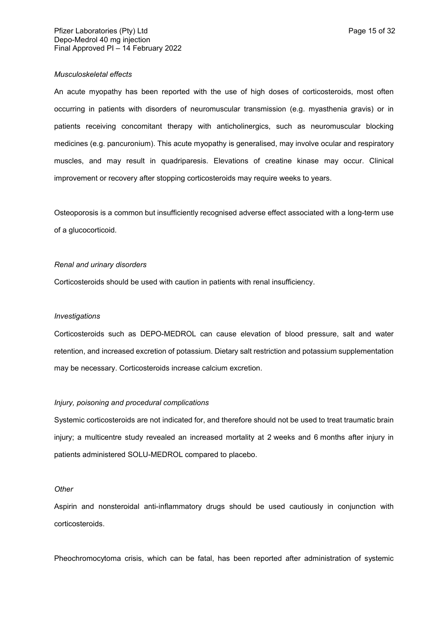### *Musculoskeletal effects*

An acute myopathy has been reported with the use of high doses of corticosteroids, most often occurring in patients with disorders of neuromuscular transmission (e.g. myasthenia gravis) or in patients receiving concomitant therapy with anticholinergics, such as neuromuscular blocking medicines (e.g. pancuronium). This acute myopathy is generalised, may involve ocular and respiratory muscles, and may result in quadriparesis. Elevations of creatine kinase may occur. Clinical improvement or recovery after stopping corticosteroids may require weeks to years.

Osteoporosis is a common but insufficiently recognised adverse effect associated with a long-term use of a glucocorticoid.

### *Renal and urinary disorders*

Corticosteroids should be used with caution in patients with renal insufficiency.

#### *Investigations*

Corticosteroids such as DEPO-MEDROL can cause elevation of blood pressure, salt and water retention, and increased excretion of potassium. Dietary salt restriction and potassium supplementation may be necessary. Corticosteroids increase calcium excretion.

#### *Injury, poisoning and procedural complications*

Systemic corticosteroids are not indicated for, and therefore should not be used to treat traumatic brain injury; a multicentre study revealed an increased mortality at 2 weeks and 6 months after injury in patients administered SOLU-MEDROL compared to placebo.

### *Other*

Aspirin and nonsteroidal anti-inflammatory drugs should be used cautiously in conjunction with corticosteroids.

Pheochromocytoma crisis, which can be fatal, has been reported after administration of systemic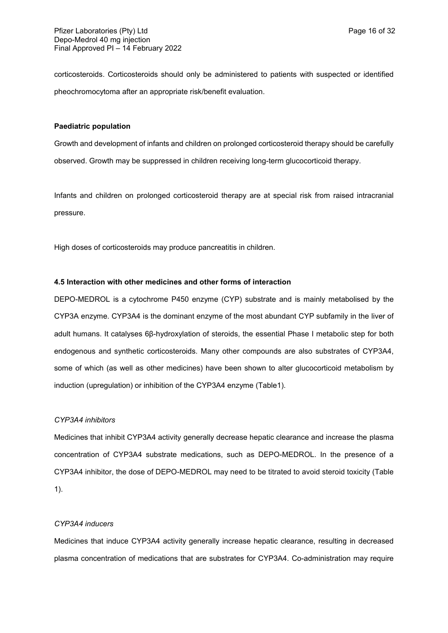corticosteroids. Corticosteroids should only be administered to patients with suspected or identified pheochromocytoma after an appropriate risk/benefit evaluation.

## **Paediatric population**

Growth and development of infants and children on prolonged corticosteroid therapy should be carefully observed. Growth may be suppressed in children receiving long-term glucocorticoid therapy.

Infants and children on prolonged corticosteroid therapy are at special risk from raised intracranial pressure.

High doses of corticosteroids may produce pancreatitis in children.

## **4.5 Interaction with other medicines and other forms of interaction**

DEPO-MEDROL is a cytochrome P450 enzyme (CYP) substrate and is mainly metabolised by the CYP3A enzyme. CYP3A4 is the dominant enzyme of the most abundant CYP subfamily in the liver of adult humans. It catalyses 6β-hydroxylation of steroids, the essential Phase I metabolic step for both endogenous and synthetic corticosteroids. Many other compounds are also substrates of CYP3A4, some of which (as well as other medicines) have been shown to alter glucocorticoid metabolism by induction (upregulation) or inhibition of the CYP3A4 enzyme (Table1).

## *CYP3A4 inhibitors*

Medicines that inhibit CYP3A4 activity generally decrease hepatic clearance and increase the plasma concentration of CYP3A4 substrate medications, such as DEPO-MEDROL. In the presence of a CYP3A4 inhibitor, the dose of DEPO-MEDROL may need to be titrated to avoid steroid toxicity (Table 1).

## *CYP3A4 inducers*

Medicines that induce CYP3A4 activity generally increase hepatic clearance, resulting in decreased plasma concentration of medications that are substrates for CYP3A4. Co-administration may require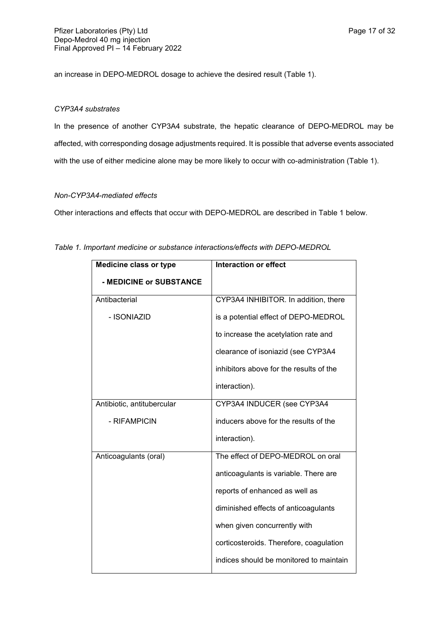an increase in DEPO-MEDROL dosage to achieve the desired result (Table 1).

## *CYP3A4 substrates*

In the presence of another CYP3A4 substrate, the hepatic clearance of DEPO-MEDROL may be affected, with corresponding dosage adjustments required. It is possible that adverse events associated with the use of either medicine alone may be more likely to occur with co-administration (Table 1).

## *Non-CYP3A4-mediated effects*

Other interactions and effects that occur with DEPO-MEDROL are described in Table 1 below.

| <b>Medicine class or type</b> | <b>Interaction or effect</b>            |
|-------------------------------|-----------------------------------------|
| - MEDICINE or SUBSTANCE       |                                         |
| Antibacterial                 | CYP3A4 INHIBITOR. In addition, there    |
| - ISONIAZID                   | is a potential effect of DEPO-MEDROL    |
|                               | to increase the acetylation rate and    |
|                               | clearance of isoniazid (see CYP3A4      |
|                               | inhibitors above for the results of the |
|                               | interaction).                           |
| Antibiotic, antitubercular    | CYP3A4 INDUCER (see CYP3A4              |
| - RIFAMPICIN                  | inducers above for the results of the   |
|                               | interaction).                           |
| Anticoagulants (oral)         | The effect of DEPO-MEDROL on oral       |
|                               | anticoagulants is variable. There are   |
|                               | reports of enhanced as well as          |
|                               | diminished effects of anticoagulants    |
|                               | when given concurrently with            |
|                               | corticosteroids. Therefore, coagulation |
|                               | indices should be monitored to maintain |

*Table 1. Important medicine or substance interactions/effects with DEPO-MEDROL*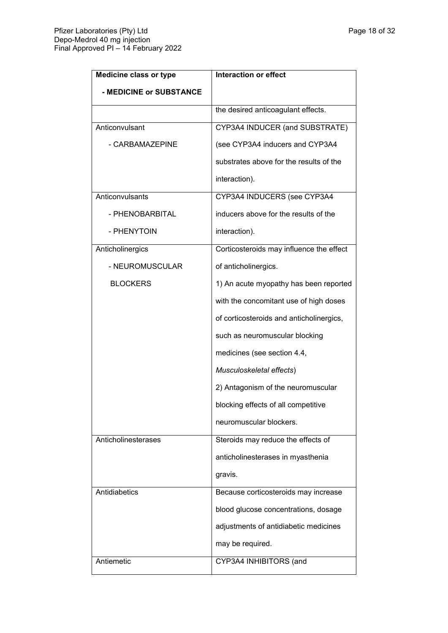| <b>Medicine class or type</b> | <b>Interaction or effect</b>             |
|-------------------------------|------------------------------------------|
| - MEDICINE or SUBSTANCE       |                                          |
|                               | the desired anticoagulant effects.       |
| Anticonvulsant                | CYP3A4 INDUCER (and SUBSTRATE)           |
| - CARBAMAZEPINE               | (see CYP3A4 inducers and CYP3A4          |
|                               | substrates above for the results of the  |
|                               | interaction).                            |
| Anticonvulsants               | CYP3A4 INDUCERS (see CYP3A4              |
| - PHENOBARBITAL               | inducers above for the results of the    |
| - PHENYTOIN                   | interaction).                            |
| Anticholinergics              | Corticosteroids may influence the effect |
| - NEUROMUSCULAR               | of anticholinergics.                     |
| <b>BLOCKERS</b>               | 1) An acute myopathy has been reported   |
|                               | with the concomitant use of high doses   |
|                               | of corticosteroids and anticholinergics, |
|                               | such as neuromuscular blocking           |
|                               | medicines (see section 4.4,              |
|                               | Musculoskeletal effects)                 |
|                               | 2) Antagonism of the neuromuscular       |
|                               | blocking effects of all competitive      |
|                               | neuromuscular blockers.                  |
| Anticholinesterases           | Steroids may reduce the effects of       |
|                               | anticholinesterases in myasthenia        |
|                               | gravis.                                  |
| Antidiabetics                 | Because corticosteroids may increase     |
|                               | blood glucose concentrations, dosage     |
|                               | adjustments of antidiabetic medicines    |
|                               | may be required.                         |
| Antiemetic                    | CYP3A4 INHIBITORS (and                   |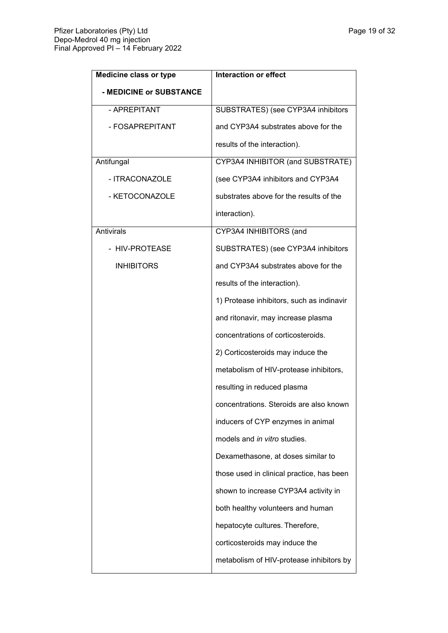| <b>Medicine class or type</b> | <b>Interaction or effect</b>              |
|-------------------------------|-------------------------------------------|
| - MEDICINE or SUBSTANCE       |                                           |
| - APREPITANT                  | SUBSTRATES) (see CYP3A4 inhibitors        |
| - FOSAPREPITANT               | and CYP3A4 substrates above for the       |
|                               | results of the interaction).              |
| Antifungal                    | CYP3A4 INHIBITOR (and SUBSTRATE)          |
| - ITRACONAZOLE                | (see CYP3A4 inhibitors and CYP3A4         |
| - KETOCONAZOLE                | substrates above for the results of the   |
|                               | interaction).                             |
| <b>Antivirals</b>             | CYP3A4 INHIBITORS (and                    |
| - HIV-PROTEASE                | SUBSTRATES) (see CYP3A4 inhibitors        |
| <b>INHIBITORS</b>             | and CYP3A4 substrates above for the       |
|                               | results of the interaction).              |
|                               | 1) Protease inhibitors, such as indinavir |
|                               | and ritonavir, may increase plasma        |
|                               | concentrations of corticosteroids.        |
|                               | 2) Corticosteroids may induce the         |
|                               | metabolism of HIV-protease inhibitors,    |
|                               | resulting in reduced plasma               |
|                               | concentrations. Steroids are also known   |
|                               | inducers of CYP enzymes in animal         |
|                               | models and in vitro studies.              |
|                               | Dexamethasone, at doses similar to        |
|                               | those used in clinical practice, has been |
|                               | shown to increase CYP3A4 activity in      |
|                               | both healthy volunteers and human         |
|                               | hepatocyte cultures. Therefore,           |
|                               | corticosteroids may induce the            |
|                               | metabolism of HIV-protease inhibitors by  |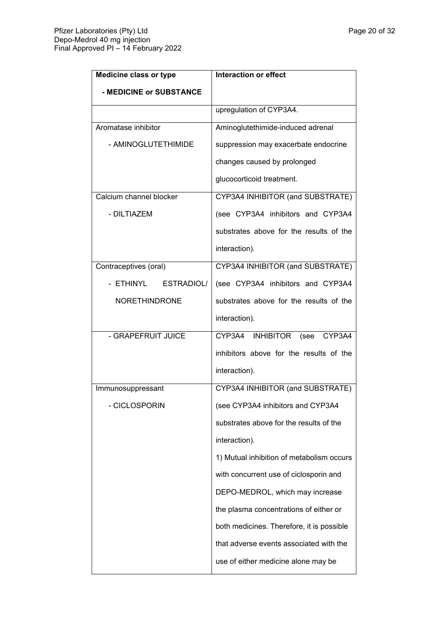| <b>Medicine class or type</b> | <b>Interaction or effect</b>              |
|-------------------------------|-------------------------------------------|
| - MEDICINE or SUBSTANCE       |                                           |
|                               | upregulation of CYP3A4.                   |
| Aromatase inhibitor           | Aminoglutethimide-induced adrenal         |
| - AMINOGLUTETHIMIDE           | suppression may exacerbate endocrine      |
|                               | changes caused by prolonged               |
|                               | glucocorticoid treatment.                 |
| Calcium channel blocker       | CYP3A4 INHIBITOR (and SUBSTRATE)          |
| - DILTIAZEM                   | (see CYP3A4 inhibitors and CYP3A4         |
|                               | substrates above for the results of the   |
|                               | interaction).                             |
| Contraceptives (oral)         | CYP3A4 INHIBITOR (and SUBSTRATE)          |
| ESTRADIOL/<br>- ETHINYL       | (see CYP3A4 inhibitors and CYP3A4         |
| <b>NORETHINDRONE</b>          | substrates above for the results of the   |
|                               | interaction).                             |
| - GRAPEFRUIT JUICE            | CYP3A4 INHIBITOR (see<br>CYP3A4           |
|                               | inhibitors above for the results of the   |
|                               | interaction).                             |
| Immunosuppressant             | CYP3A4 INHIBITOR (and SUBSTRATE)          |
| <b>CICLOSPORIN</b>            | (see CYP3A4 inhibitors and CYP3A4         |
|                               | substrates above for the results of the   |
|                               | interaction).                             |
|                               | 1) Mutual inhibition of metabolism occurs |
|                               | with concurrent use of ciclosporin and    |
|                               | DEPO-MEDROL, which may increase           |
|                               | the plasma concentrations of either or    |
|                               | both medicines. Therefore, it is possible |
|                               | that adverse events associated with the   |
|                               | use of either medicine alone may be       |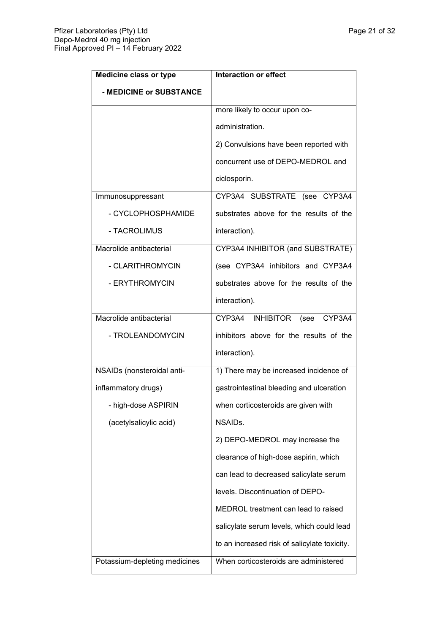| <b>Medicine class or type</b> | <b>Interaction or effect</b>                 |
|-------------------------------|----------------------------------------------|
| - MEDICINE or SUBSTANCE       |                                              |
|                               | more likely to occur upon co-                |
|                               | administration.                              |
|                               | 2) Convulsions have been reported with       |
|                               | concurrent use of DEPO-MEDROL and            |
|                               | ciclosporin.                                 |
| Immunosuppressant             | CYP3A4 SUBSTRATE (see CYP3A4                 |
| - CYCLOPHOSPHAMIDE            | substrates above for the results of the      |
| - TACROLIMUS                  | interaction).                                |
| Macrolide antibacterial       | CYP3A4 INHIBITOR (and SUBSTRATE)             |
| - CLARITHROMYCIN              | (see CYP3A4 inhibitors and CYP3A4            |
| - ERYTHROMYCIN                | substrates above for the results of the      |
|                               | interaction).                                |
| Macrolide antibacterial       | CYP3A4 INHIBITOR<br>(see<br>CYP3A4           |
| - TROLEANDOMYCIN              | inhibitors above for the results of the      |
|                               | interaction).                                |
| NSAIDs (nonsteroidal anti-    | 1) There may be increased incidence of       |
| inflammatory drugs)           | gastrointestinal bleeding and ulceration     |
| - high-dose ASPIRIN           | when corticosteroids are given with          |
| (acetylsalicylic acid)        | NSAIDs.                                      |
|                               | 2) DEPO-MEDROL may increase the              |
|                               | clearance of high-dose aspirin, which        |
|                               | can lead to decreased salicylate serum       |
|                               | levels. Discontinuation of DEPO-             |
|                               | MEDROL treatment can lead to raised          |
|                               | salicylate serum levels, which could lead    |
|                               | to an increased risk of salicylate toxicity. |
| Potassium-depleting medicines | When corticosteroids are administered        |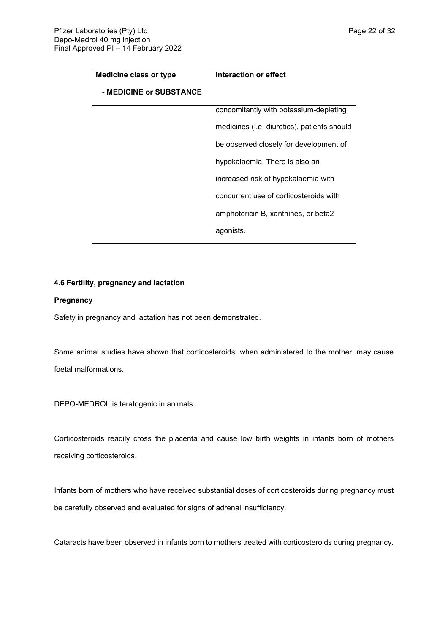| <b>Medicine class or type</b> | Interaction or effect                       |
|-------------------------------|---------------------------------------------|
| - MEDICINE or SUBSTANCE       |                                             |
|                               | concomitantly with potassium-depleting      |
|                               | medicines (i.e. diuretics), patients should |
|                               | be observed closely for development of      |
|                               | hypokalaemia. There is also an              |
|                               | increased risk of hypokalaemia with         |
|                               | concurrent use of corticosteroids with      |
|                               | amphotericin B, xanthines, or beta2         |
|                               | agonists.                                   |

## **4.6 Fertility, pregnancy and lactation**

## **Pregnancy**

Safety in pregnancy and lactation has not been demonstrated.

Some animal studies have shown that corticosteroids, when administered to the mother, may cause foetal malformations.

DEPO-MEDROL is teratogenic in animals.

Corticosteroids readily cross the placenta and cause low birth weights in infants born of mothers receiving corticosteroids.

Infants born of mothers who have received substantial doses of corticosteroids during pregnancy must be carefully observed and evaluated for signs of adrenal insufficiency.

Cataracts have been observed in infants born to mothers treated with corticosteroids during pregnancy.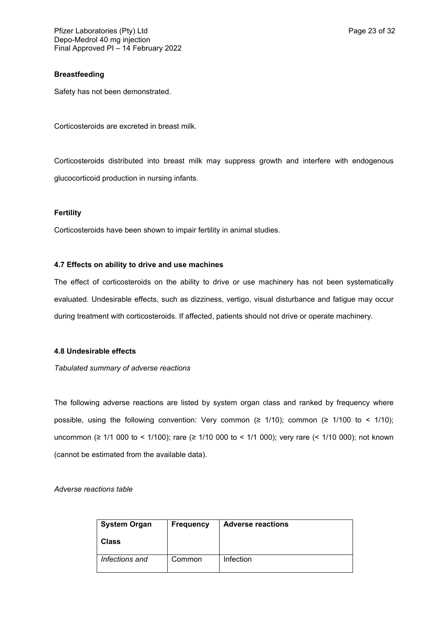## **Breastfeeding**

Safety has not been demonstrated.

Corticosteroids are excreted in breast milk.

Corticosteroids distributed into breast milk may suppress growth and interfere with endogenous glucocorticoid production in nursing infants.

## **Fertility**

Corticosteroids have been shown to impair fertility in animal studies.

## **4.7 Effects on ability to drive and use machines**

The effect of corticosteroids on the ability to drive or use machinery has not been systematically evaluated. Undesirable effects, such as dizziness, vertigo, visual disturbance and fatigue may occur during treatment with corticosteroids. If affected, patients should not drive or operate machinery.

## **4.8 Undesirable effects**

*Tabulated summary of adverse reactions*

The following adverse reactions are listed by system organ class and ranked by frequency where possible, using the following convention: Very common ( $\geq$  1/10); common ( $\geq$  1/100 to < 1/10); uncommon (≥ 1/1 000 to < 1/100); rare (≥ 1/10 000 to < 1/1 000); very rare (< 1/10 000); not known (cannot be estimated from the available data).

*Adverse reactions table*

| <b>System Organ</b><br>Class | <b>Frequency</b> | <b>Adverse reactions</b> |
|------------------------------|------------------|--------------------------|
|                              |                  |                          |
| Infections and               | Common           | Infection                |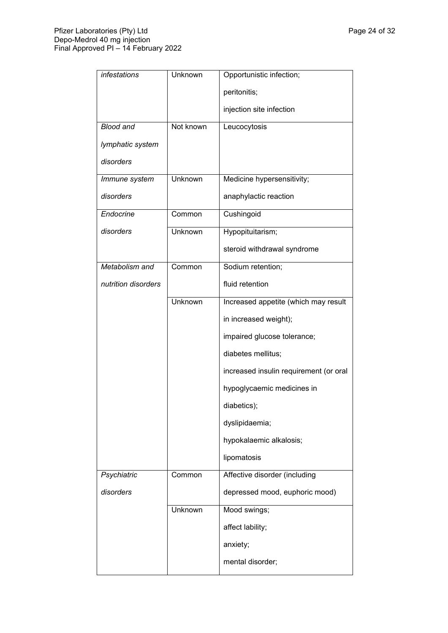| infestations        | Unknown        | Opportunistic infection;               |
|---------------------|----------------|----------------------------------------|
|                     |                | peritonitis;                           |
|                     |                | injection site infection               |
| <b>Blood and</b>    | Not known      | Leucocytosis                           |
| lymphatic system    |                |                                        |
| disorders           |                |                                        |
| Immune system       | <b>Unknown</b> | Medicine hypersensitivity;             |
| disorders           |                | anaphylactic reaction                  |
| Endocrine           | Common         | Cushingoid                             |
| disorders           | <b>Unknown</b> | Hypopituitarism;                       |
|                     |                | steroid withdrawal syndrome            |
| Metabolism and      | Common         | Sodium retention;                      |
| nutrition disorders |                | fluid retention                        |
|                     | Unknown        | Increased appetite (which may result   |
|                     |                | in increased weight);                  |
|                     |                | impaired glucose tolerance;            |
|                     |                | diabetes mellitus;                     |
|                     |                | increased insulin requirement (or oral |
|                     |                | hypoglycaemic medicines in             |
|                     |                | diabetics);                            |
|                     |                | dyslipidaemia;                         |
|                     |                | hypokalaemic alkalosis;                |
|                     |                | lipomatosis                            |
| Psychiatric         | Common         | Affective disorder (including          |
| disorders           |                | depressed mood, euphoric mood)         |
|                     | Unknown        | Mood swings;                           |
|                     |                | affect lability;                       |
|                     |                | anxiety;                               |
|                     |                | mental disorder;                       |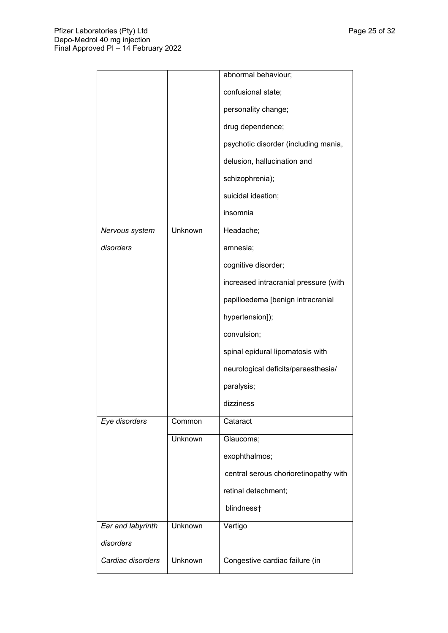|                   |         | abnormal behaviour;                   |
|-------------------|---------|---------------------------------------|
|                   |         | confusional state;                    |
|                   |         | personality change;                   |
|                   |         | drug dependence;                      |
|                   |         | psychotic disorder (including mania,  |
|                   |         | delusion, hallucination and           |
|                   |         | schizophrenia);                       |
|                   |         | suicidal ideation;                    |
|                   |         | insomnia                              |
| Nervous system    | Unknown | Headache;                             |
| disorders         |         | amnesia;                              |
|                   |         | cognitive disorder;                   |
|                   |         | increased intracranial pressure (with |
|                   |         | papilloedema [benign intracranial     |
|                   |         | hypertension]);                       |
|                   |         | convulsion;                           |
|                   |         | spinal epidural lipomatosis with      |
|                   |         | neurological deficits/paraesthesia/   |
|                   |         | paralysis;                            |
|                   |         | dizziness                             |
| Eye disorders     | Common  | Cataract                              |
|                   | Unknown | Glaucoma;                             |
|                   |         | exophthalmos;                         |
|                   |         | central serous chorioretinopathy with |
|                   |         | retinal detachment;                   |
|                   |         | blindness†                            |
| Ear and labyrinth | Unknown | Vertigo                               |
| disorders         |         |                                       |
| Cardiac disorders | Unknown | Congestive cardiac failure (in        |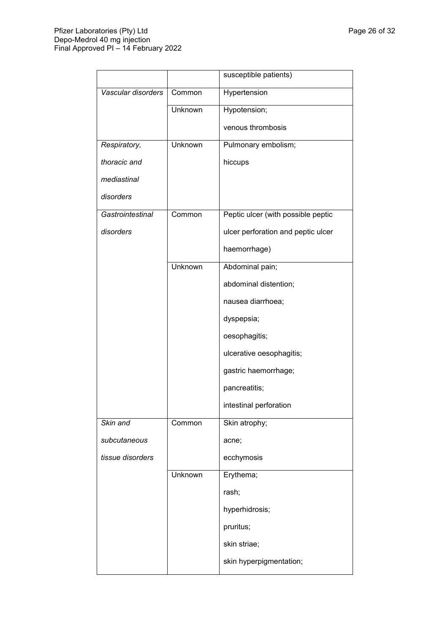|                    |         | susceptible patients)              |
|--------------------|---------|------------------------------------|
| Vascular disorders | Common  | Hypertension                       |
|                    | Unknown | Hypotension;                       |
|                    |         | venous thrombosis                  |
| Respiratory,       | Unknown | Pulmonary embolism;                |
| thoracic and       |         | hiccups                            |
| mediastinal        |         |                                    |
| disorders          |         |                                    |
| Gastrointestinal   | Common  | Peptic ulcer (with possible peptic |
| disorders          |         | ulcer perforation and peptic ulcer |
|                    |         | haemorrhage)                       |
|                    | Unknown | Abdominal pain;                    |
|                    |         | abdominal distention;              |
|                    |         | nausea diarrhoea;                  |
|                    |         | dyspepsia;                         |
|                    |         | oesophagitis;                      |
|                    |         | ulcerative oesophagitis;           |
|                    |         | gastric haemorrhage;               |
|                    |         | pancreatitis;                      |
|                    |         | intestinal perforation             |
| Skin and           | Common  | Skin atrophy;                      |
| subcutaneous       |         | acne;                              |
| tissue disorders   |         | ecchymosis                         |
|                    | Unknown | Erythema;                          |
|                    |         | rash;                              |
|                    |         | hyperhidrosis;                     |
|                    |         | pruritus;                          |
|                    |         | skin striae;                       |
|                    |         | skin hyperpigmentation;            |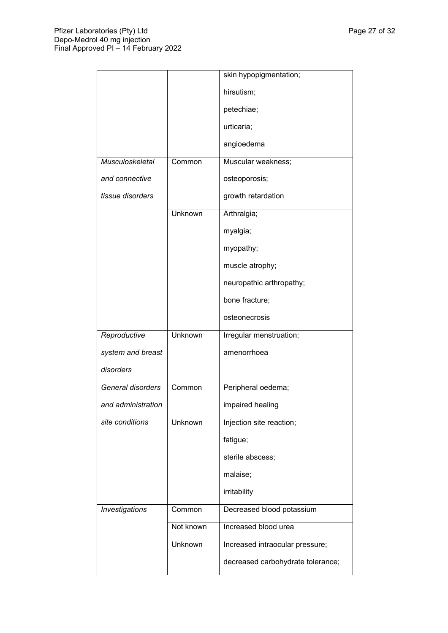|                    |           | skin hypopigmentation;            |
|--------------------|-----------|-----------------------------------|
|                    |           | hirsutism;                        |
|                    |           | petechiae;                        |
|                    |           | urticaria;                        |
|                    |           | angioedema                        |
| Musculoskeletal    | Common    | Muscular weakness;                |
| and connective     |           | osteoporosis;                     |
| tissue disorders   |           | growth retardation                |
|                    | Unknown   | Arthralgia;                       |
|                    |           | myalgia;                          |
|                    |           | myopathy;                         |
|                    |           | muscle atrophy;                   |
|                    |           | neuropathic arthropathy;          |
|                    |           | bone fracture;                    |
|                    |           | osteonecrosis                     |
| Reproductive       | Unknown   | Irregular menstruation;           |
| system and breast  |           | amenorrhoea                       |
| disorders          |           |                                   |
| General disorders  | Common    | Peripheral oedema;                |
| and administration |           | impaired healing                  |
| site conditions    | Unknown   | Injection site reaction;          |
|                    |           | fatigue;                          |
|                    |           | sterile abscess;                  |
|                    |           | malaise;                          |
|                    |           | irritability                      |
| Investigations     | Common    | Decreased blood potassium         |
|                    | Not known | Increased blood urea              |
|                    | Unknown   | Increased intraocular pressure;   |
|                    |           | decreased carbohydrate tolerance; |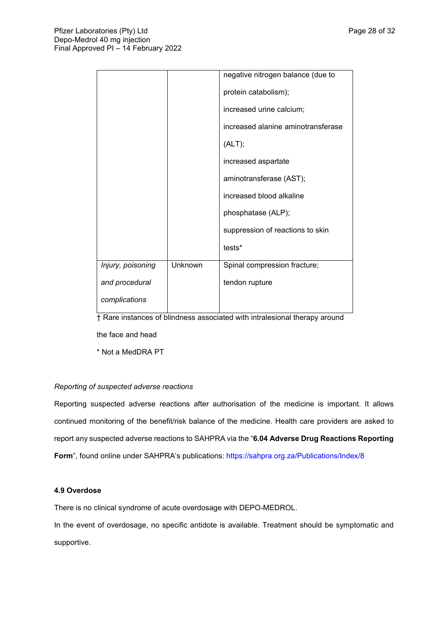|                   |         | negative nitrogen balance (due to  |
|-------------------|---------|------------------------------------|
|                   |         | protein catabolism);               |
|                   |         | increased urine calcium;           |
|                   |         | increased alanine aminotransferase |
|                   |         | (ALT);                             |
|                   |         | increased aspartate                |
|                   |         | aminotransferase (AST);            |
|                   |         | increased blood alkaline           |
|                   |         | phosphatase (ALP);                 |
|                   |         | suppression of reactions to skin   |
|                   |         | tests*                             |
| Injury, poisoning | Unknown | Spinal compression fracture;       |
| and procedural    |         | tendon rupture                     |
| complications     |         |                                    |
|                   |         |                                    |

† Rare instances of blindness associated with intralesional therapy around

the face and head

\* Not a MedDRA PT

## *Reporting of suspected adverse reactions*

Reporting suspected adverse reactions after authorisation of the medicine is important. It allows continued monitoring of the benefit/risk balance of the medicine. Health care providers are asked to report any suspected adverse reactions to SAHPRA via the "**6.04 Adverse Drug Reactions Reporting Form**", found online under SAHPRA's publications: <https://sahpra.org.za/Publications/Index/8>

## **4.9 Overdose**

There is no clinical syndrome of acute overdosage with DEPO-MEDROL.

In the event of overdosage, no specific antidote is available. Treatment should be symptomatic and supportive.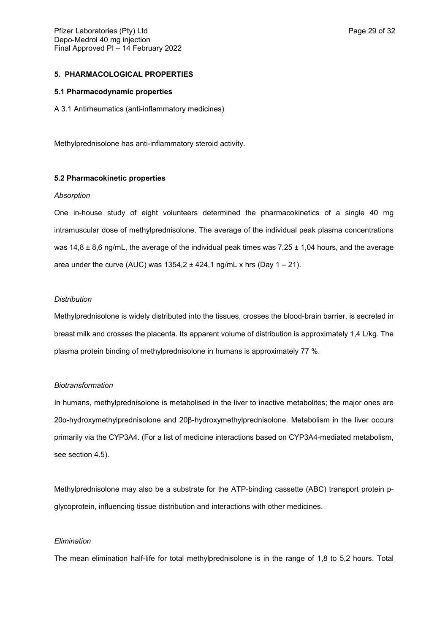### **5. PHARMACOLOGICAL PROPERTIES**

### **5.1 Pharmacodynamic properties**

A 3.1 Antirheumatics (anti-inflammatory medicines)

Methylprednisolone has anti-inflammatory steroid activity.

### **5.2 Pharmacokinetic properties**

#### *Absorption*

One in-house study of eight volunteers determined the pharmacokinetics of a single 40 mg intramuscular dose of methylprednisolone. The average of the individual peak plasma concentrations was  $14.8 \pm 8.6$  ng/mL, the average of the individual peak times was  $7.25 \pm 1.04$  hours, and the average area under the curve (AUC) was  $1354,2 \pm 424,1$  ng/mL x hrs (Day  $1 - 21$ ).

#### *Distribution*

Methylprednisolone is widely distributed into the tissues, crosses the blood-brain barrier, is secreted in breast milk and crosses the placenta. Its apparent volume of distribution is approximately 1,4 L/kg. The plasma protein binding of methylprednisolone in humans is approximately 77 %.

#### *Biotransformation*

In humans, methylprednisolone is metabolised in the liver to inactive metabolites; the major ones are 20α-hydroxymethylprednisolone and 20β-hydroxymethylprednisolone. Metabolism in the liver occurs primarily via the CYP3A4. (For a list of medicine interactions based on CYP3A4-mediated metabolism, see section 4.5).

Methylprednisolone may also be a substrate for the ATP-binding cassette (ABC) transport protein pglycoprotein, influencing tissue distribution and interactions with other medicines.

#### *Elimination*

The mean elimination half-life for total methylprednisolone is in the range of 1,8 to 5,2 hours. Total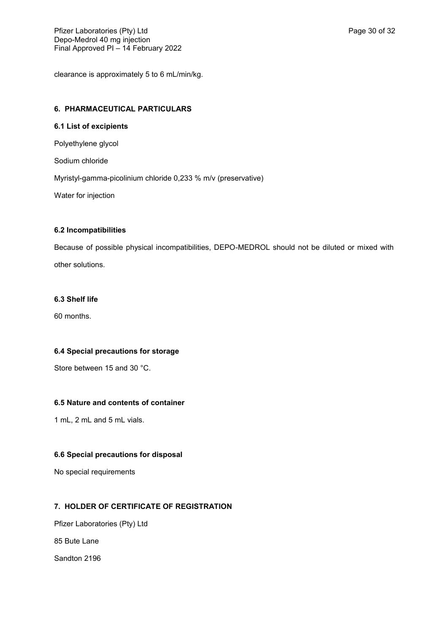clearance is approximately 5 to 6 mL/min/kg.

## **6. PHARMACEUTICAL PARTICULARS**

## **6.1 List of excipients**

Polyethylene glycol

Sodium chloride

Myristyl-gamma-picolinium chloride 0,233 % m/v (preservative)

Water for injection

## **6.2 Incompatibilities**

Because of possible physical incompatibilities, DEPO-MEDROL should not be diluted or mixed with other solutions.

## **6.3 Shelf life**

60 months.

## **6.4 Special precautions for storage**

Store between 15 and 30 °C.

## **6.5 Nature and contents of container**

1 mL, 2 mL and 5 mL vials.

## **6.6 Special precautions for disposal**

No special requirements

## **7. HOLDER OF CERTIFICATE OF REGISTRATION**

Pfizer Laboratories (Pty) Ltd

85 Bute Lane

Sandton 2196